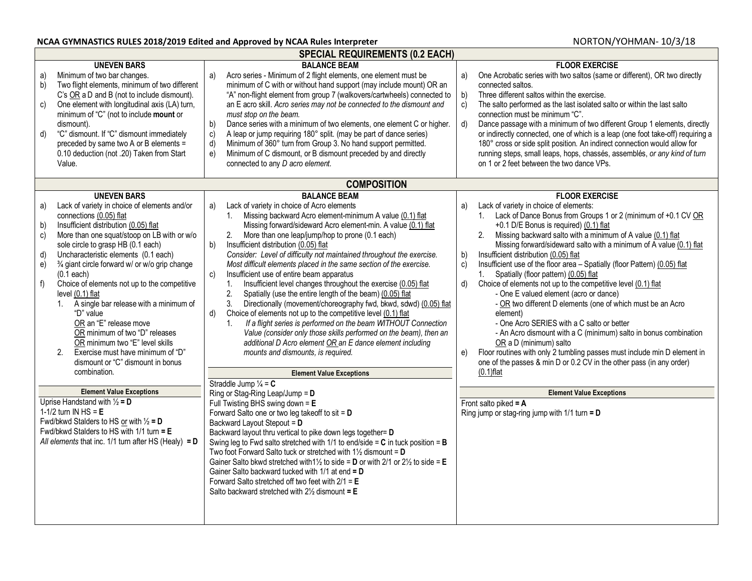|                                                                                                                                                                                                                                                                                                                                                                                                                                                                                                                                                                                                                                                                                                         | <b>SPECIAL REQUIREMENTS (0.2 EACH)</b>                                                                                                                                                                                                                                                                                                                                                                                                                                                                                                                                                                                                                                                                                                                                                                                                                                                                                                                                                                                                                                                                                     |                                                                                                                                                                                                                                                                                                                                                                                                                                                                                                                                                                                                                                                                                                                                                                                                                                                                                                                                                                                                            |  |  |
|---------------------------------------------------------------------------------------------------------------------------------------------------------------------------------------------------------------------------------------------------------------------------------------------------------------------------------------------------------------------------------------------------------------------------------------------------------------------------------------------------------------------------------------------------------------------------------------------------------------------------------------------------------------------------------------------------------|----------------------------------------------------------------------------------------------------------------------------------------------------------------------------------------------------------------------------------------------------------------------------------------------------------------------------------------------------------------------------------------------------------------------------------------------------------------------------------------------------------------------------------------------------------------------------------------------------------------------------------------------------------------------------------------------------------------------------------------------------------------------------------------------------------------------------------------------------------------------------------------------------------------------------------------------------------------------------------------------------------------------------------------------------------------------------------------------------------------------------|------------------------------------------------------------------------------------------------------------------------------------------------------------------------------------------------------------------------------------------------------------------------------------------------------------------------------------------------------------------------------------------------------------------------------------------------------------------------------------------------------------------------------------------------------------------------------------------------------------------------------------------------------------------------------------------------------------------------------------------------------------------------------------------------------------------------------------------------------------------------------------------------------------------------------------------------------------------------------------------------------------|--|--|
| <b>UNEVEN BARS</b><br>Minimum of two bar changes.<br>a)<br>Two flight elements, minimum of two different<br>b)<br>C's OR a D and B (not to include dismount).<br>One element with longitudinal axis (LA) turn,<br>c)<br>minimum of "C" (not to include mount or<br>dismount).<br>d)<br>"C" dismount. If "C" dismount immediately<br>preceded by same two A or B elements =<br>0.10 deduction (not .20) Taken from Start<br>Value.                                                                                                                                                                                                                                                                       | <b>BALANCE BEAM</b><br>Acro series - Minimum of 2 flight elements, one element must be<br>a)<br>minimum of C with or without hand support (may include mount) OR an<br>"A" non-flight element from group 7 (walkovers/cartwheels) connected to<br>an E acro skill. Acro series may not be connected to the dismount and<br>must stop on the beam.<br>Dance series with a minimum of two elements, one element C or higher.<br>b)<br>A leap or jump requiring 180° split. (may be part of dance series)<br>c)<br>Minimum of 360° turn from Group 3. No hand support permitted.<br>d)<br>Minimum of C dismount, or B dismount preceded by and directly<br>e)<br>connected to any D acro element.<br><b>COMPOSITION</b>                                                                                                                                                                                                                                                                                                                                                                                                       | <b>FLOOR EXERCISE</b><br>One Acrobatic series with two saltos (same or different), OR two directly<br>a)<br>connected saltos.<br>Three different saltos within the exercise.<br>b)<br>$\overline{c}$ )<br>The salto performed as the last isolated salto or within the last salto<br>connection must be minimum "C".<br>Dance passage with a minimum of two different Group 1 elements, directly<br>d)<br>or indirectly connected, one of which is a leap (one foot take-off) requiring a<br>180° cross or side split position. An indirect connection would allow for<br>running steps, small leaps, hops, chassés, assemblés, or any kind of turn<br>on 1 or 2 feet between the two dance VPs.                                                                                                                                                                                                                                                                                                           |  |  |
| <b>UNEVEN BARS</b>                                                                                                                                                                                                                                                                                                                                                                                                                                                                                                                                                                                                                                                                                      | <b>BALANCE BEAM</b>                                                                                                                                                                                                                                                                                                                                                                                                                                                                                                                                                                                                                                                                                                                                                                                                                                                                                                                                                                                                                                                                                                        | <b>FLOOR EXERCISE</b>                                                                                                                                                                                                                                                                                                                                                                                                                                                                                                                                                                                                                                                                                                                                                                                                                                                                                                                                                                                      |  |  |
| Lack of variety in choice of elements and/or<br>a)<br>connections (0.05) flat<br>Insufficient distribution (0.05) flat<br>b)<br>$\mathsf{c})$<br>More than one squat/stoop on LB with or w/o<br>sole circle to grasp HB (0.1 each)<br>Uncharacteristic elements (0.1 each)<br>d)<br>3/4 giant circle forward w/ or w/o grip change<br>e)<br>$(0.1$ each)<br>f)<br>Choice of elements not up to the competitive<br>level (0.1) flat<br>A single bar release with a minimum of<br>$1_{\cdot}$<br>"D" value<br>OR an "E" release move<br>OR minimum of two "D" releases<br>OR minimum two "E" level skills<br>Exercise must have minimum of "D"<br>2.<br>dismount or "C" dismount in bonus<br>combination. | Lack of variety in choice of Acro elements<br>a)<br>Missing backward Acro element-minimum A value (0.1) flat<br>1.<br>Missing forward/sideward Acro element-min. A value (0.1) flat<br>2. More than one leap/jump/hop to prone (0.1 each)<br>b)<br>Insufficient distribution (0.05) flat<br>Consider: Level of difficulty not maintained throughout the exercise.<br>Most difficult elements placed in the same section of the exercise.<br>Insufficient use of entire beam apparatus<br>c)<br>Insufficient level changes throughout the exercise (0.05) flat<br>1.<br>2.<br>Spatially (use the entire length of the beam) (0.05) flat<br>3.<br>Directionally (movement/choreography fwd, bkwd, sdwd) (0.05) flat<br>Choice of elements not up to the competitive level (0.1) flat<br>d)<br>If a flight series is performed on the beam WITHOUT Connection<br>$\mathbf{1}$ .<br>Value (consider only those skills performed on the beam), then an<br>additional D Acro element OR an E dance element including<br>mounts and dismounts, is required.<br><b>Element Value Exceptions</b><br>Straddle Jump $\frac{1}{4}$ = C | Lack of variety in choice of elements:<br>a)<br>1. Lack of Dance Bonus from Groups 1 or 2 (minimum of +0.1 CV OR<br>+0.1 D/E Bonus is required) (0.1) flat<br>Missing backward salto with a minimum of A value (0.1) flat<br>2.<br>Missing forward/sideward salto with a minimum of A value (0.1) flat<br>Insufficient distribution (0.05) flat<br>b)<br>Insufficient use of the floor area - Spatially (floor Pattern) (0.05) flat<br>c)<br>Spatially (floor pattern) (0.05) flat<br>1.<br>Choice of elements not up to the competitive level (0.1) flat<br>d)<br>- One E valued element (acro or dance)<br>- OR two different D elements (one of which must be an Acro<br>element)<br>- One Acro SERIES with a C salto or better<br>- An Acro dismount with a C (minimum) salto in bonus combination<br>OR a D (minimum) salto<br>Floor routines with only 2 tumbling passes must include min D element in<br>e)<br>one of the passes & min D or 0.2 CV in the other pass (in any order)<br>$(0.1)$ flat |  |  |
| <b>Element Value Exceptions</b><br>Ring or Stag-Ring Leap/Jump = $D$                                                                                                                                                                                                                                                                                                                                                                                                                                                                                                                                                                                                                                    |                                                                                                                                                                                                                                                                                                                                                                                                                                                                                                                                                                                                                                                                                                                                                                                                                                                                                                                                                                                                                                                                                                                            | <b>Element Value Exceptions</b>                                                                                                                                                                                                                                                                                                                                                                                                                                                                                                                                                                                                                                                                                                                                                                                                                                                                                                                                                                            |  |  |
| Uprise Handstand with $\frac{1}{2}$ = D<br>1-1/2 turn IN HS = $E$<br>Fwd/bkwd Stalders to HS or with $\frac{1}{2}$ = D<br>Fwd/bkwd Stalders to HS with $1/1$ turn = $E$<br>All elements that inc. $1/1$ turn after HS (Healy) = D                                                                                                                                                                                                                                                                                                                                                                                                                                                                       | Full Twisting BHS swing down = $E$<br>Forward Salto one or two leg takeoff to sit = $D$<br>Backward Layout Stepout = D<br>Backward layout thru vertical to pike down legs together= D<br>Swing leg to Fwd salto stretched with 1/1 to end/side = $C$ in tuck position = $B$<br>Two foot Forward Salto tuck or stretched with $1\frac{1}{2}$ dismount = D<br>Gainer Salto bkwd stretched with 11/2 to side = D or with 2/1 or 21/2 to side = E<br>Gainer Salto backward tucked with $1/1$ at end = $D$<br>Forward Salto stretched off two feet with $2/1 = E$<br>Salto backward stretched with $2\frac{1}{2}$ dismount = E                                                                                                                                                                                                                                                                                                                                                                                                                                                                                                  | Front salto piked = $A$<br>Ring jump or stag-ring jump with $1/1$ turn = D                                                                                                                                                                                                                                                                                                                                                                                                                                                                                                                                                                                                                                                                                                                                                                                                                                                                                                                                 |  |  |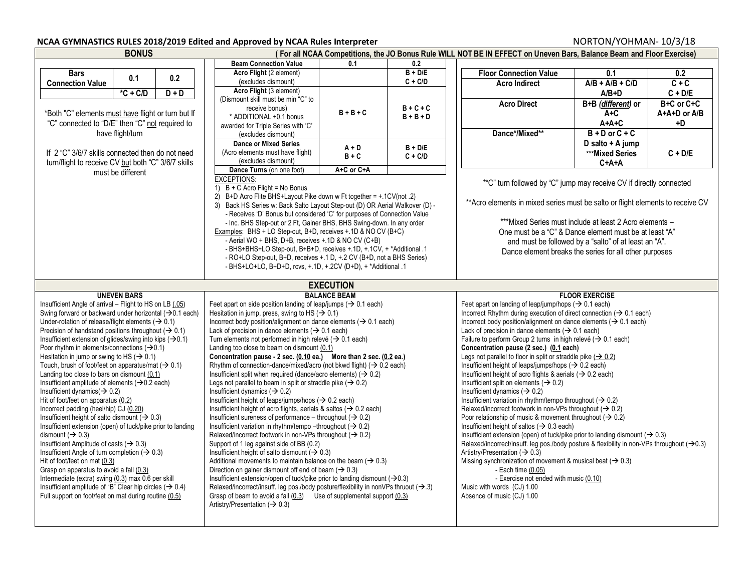| <b>BONUS</b>                                                                  |                                                     |                                    |                                                                                                                                                      |                                                                                                           |           | (For all NCAA Competitions, the JO Bonus Rule WILL NOT BE IN EFFECT on Uneven Bars, Balance Beam and Floor Exercise) |                                                                                                                                                 |                    |            |  |
|-------------------------------------------------------------------------------|-----------------------------------------------------|------------------------------------|------------------------------------------------------------------------------------------------------------------------------------------------------|-----------------------------------------------------------------------------------------------------------|-----------|----------------------------------------------------------------------------------------------------------------------|-------------------------------------------------------------------------------------------------------------------------------------------------|--------------------|------------|--|
|                                                                               |                                                     | <b>Beam Connection Value</b>       | 0.1                                                                                                                                                  | 0.2                                                                                                       |           |                                                                                                                      |                                                                                                                                                 |                    |            |  |
| <b>Bars</b>                                                                   |                                                     |                                    | Acro Flight (2 element)                                                                                                                              |                                                                                                           | $B + D/E$ |                                                                                                                      | <b>Floor Connection Value</b>                                                                                                                   | 0.1                | 0.2        |  |
| <b>Connection Value</b>                                                       | 0.1                                                 | 0.2                                | (excludes dismount)                                                                                                                                  |                                                                                                           | $C + C/D$ |                                                                                                                      | <b>Acro Indirect</b>                                                                                                                            | $A/B + A/B + C/D$  | $C + C$    |  |
|                                                                               | $*C + C/D$                                          | $D + D$                            | Acro Flight (3 element)                                                                                                                              |                                                                                                           |           |                                                                                                                      |                                                                                                                                                 | $A/B+D$            | $C + D/E$  |  |
|                                                                               |                                                     |                                    | (Dismount skill must be min "C" to                                                                                                                   |                                                                                                           |           |                                                                                                                      | <b>Acro Direct</b>                                                                                                                              | B+B (different) or | B+C or C+C |  |
|                                                                               |                                                     | receive bonus)                     | $B + B + C$                                                                                                                                          | $B + C + C$                                                                                               |           |                                                                                                                      | $A+C$                                                                                                                                           | A+A+D or A/B       |            |  |
| *Both "C" elements must have flight or turn but If                            |                                                     | * ADDITIONAL +0.1 bonus            |                                                                                                                                                      | $B + B + D$                                                                                               |           |                                                                                                                      | $A+A+C$                                                                                                                                         | +D                 |            |  |
| "C" connected to "D/E" then "C" not required to                               |                                                     | awarded for Triple Series with 'C' |                                                                                                                                                      |                                                                                                           |           |                                                                                                                      |                                                                                                                                                 |                    |            |  |
|                                                                               | have flight/turn                                    |                                    | (excludes dismount)                                                                                                                                  |                                                                                                           |           |                                                                                                                      | Dance*/Mixed**                                                                                                                                  | $B + D$ or $C + C$ |            |  |
|                                                                               |                                                     |                                    | <b>Dance or Mixed Series</b>                                                                                                                         | $A + D$                                                                                                   | $B + D/E$ |                                                                                                                      | D salto + A jump                                                                                                                                |                    |            |  |
| If 2 "C" 3/6/7 skills connected then do not need                              |                                                     |                                    | (Acro elements must have flight)                                                                                                                     | $B + C$                                                                                                   | $C + C/D$ |                                                                                                                      |                                                                                                                                                 | ***Mixed Series    | $C + D/E$  |  |
|                                                                               | turn/flight to receive CV but both "C" 3/6/7 skills |                                    | (excludes dismount)                                                                                                                                  |                                                                                                           |           |                                                                                                                      |                                                                                                                                                 | $C+A+A$            |            |  |
|                                                                               | must be different                                   |                                    | Dance Turns (on one foot)                                                                                                                            | A+C or C+A                                                                                                |           |                                                                                                                      |                                                                                                                                                 |                    |            |  |
|                                                                               |                                                     |                                    | <b>EXCEPTIONS:</b>                                                                                                                                   |                                                                                                           |           |                                                                                                                      | *"C" turn followed by "C" jump may receive CV if directly connected                                                                             |                    |            |  |
|                                                                               |                                                     |                                    |                                                                                                                                                      | 1) $B + C$ Acro Flight = No Bonus<br>2) B+D Acro Flite BHS+Layout Pike down w Ft together = +.1CV(not .2) |           |                                                                                                                      |                                                                                                                                                 |                    |            |  |
|                                                                               |                                                     |                                    | 3) Back HS Series w: Back Salto Layout Step-out (D) OR Aerial Walkover (D) -                                                                         |                                                                                                           |           |                                                                                                                      | ** Acro elements in mixed series must be salto or flight elements to receive CV                                                                 |                    |            |  |
|                                                                               |                                                     |                                    | - Receives 'D' Bonus but considered 'C' for purposes of Connection Value                                                                             |                                                                                                           |           |                                                                                                                      |                                                                                                                                                 |                    |            |  |
|                                                                               |                                                     |                                    | - Inc. BHS Step-out or 2 Ft, Gainer BHS, BHS Swing-down. In any order                                                                                |                                                                                                           |           |                                                                                                                      | ***Mixed Series must include at least 2 Acro elements -                                                                                         |                    |            |  |
|                                                                               |                                                     |                                    | Examples: BHS + LO Step-out, B+D, receives +.1D & NO CV (B+C)                                                                                        |                                                                                                           |           |                                                                                                                      |                                                                                                                                                 |                    |            |  |
|                                                                               |                                                     |                                    | - Aerial WO + BHS, D+B, receives + 1D & NO CV (C+B)                                                                                                  |                                                                                                           |           |                                                                                                                      | One must be a "C" & Dance element must be at least "A"<br>and must be followed by a "salto" of at least an "A".                                 |                    |            |  |
|                                                                               |                                                     |                                    | - BHS+BHS+LO Step-out, B+B+D, receives + 1D, + 1CV, + *Additional 1                                                                                  |                                                                                                           |           |                                                                                                                      | Dance element breaks the series for all other purposes                                                                                          |                    |            |  |
|                                                                               |                                                     |                                    | - RO+LO Step-out, B+D, receives +.1 D, +.2 CV (B+D, not a BHS Series)                                                                                |                                                                                                           |           |                                                                                                                      |                                                                                                                                                 |                    |            |  |
|                                                                               |                                                     |                                    | - BHS+LO+LO, B+D+D, rcvs, +.1D, +.2CV (D+D), + *Additional .1                                                                                        |                                                                                                           |           |                                                                                                                      |                                                                                                                                                 |                    |            |  |
|                                                                               |                                                     |                                    |                                                                                                                                                      |                                                                                                           |           |                                                                                                                      |                                                                                                                                                 |                    |            |  |
| <b>EXECUTION</b>                                                              |                                                     |                                    |                                                                                                                                                      |                                                                                                           |           |                                                                                                                      |                                                                                                                                                 |                    |            |  |
| <b>UNEVEN BARS</b>                                                            |                                                     | <b>BALANCE BEAM</b>                |                                                                                                                                                      |                                                                                                           |           | <b>FLOOR EXERCISE</b>                                                                                                |                                                                                                                                                 |                    |            |  |
|                                                                               |                                                     |                                    |                                                                                                                                                      |                                                                                                           |           |                                                                                                                      |                                                                                                                                                 |                    |            |  |
| Insufficient Angle of arrival - Flight to HS on LB (.05)                      |                                                     |                                    | Feet apart on side position landing of leap/jumps ( $\rightarrow$ 0.1 each)                                                                          |                                                                                                           |           |                                                                                                                      | Feet apart on landing of leap/jump/hops ( $\rightarrow$ 0.1 each)                                                                               |                    |            |  |
| Swing forward or backward under horizontal $(\rightarrow 0.1$ each)           |                                                     |                                    | Hesitation in jump, press, swing to HS ( $\rightarrow$ 0.1)                                                                                          |                                                                                                           |           |                                                                                                                      | Incorrect Rhythm during execution of direct connection ( $\rightarrow$ 0.1 each)                                                                |                    |            |  |
| Under-rotation of release/flight elements ( $\rightarrow$ 0.1)                |                                                     |                                    | Incorrect body position/alignment on dance elements ( $\rightarrow$ 0.1 each)                                                                        |                                                                                                           |           |                                                                                                                      | Incorrect body position/alignment on dance elements ( $\rightarrow$ 0.1 each)                                                                   |                    |            |  |
| Precision of handstand positions throughout ( $\rightarrow$ 0.1)              |                                                     |                                    | Lack of precision in dance elements ( $\rightarrow$ 0.1 each)                                                                                        |                                                                                                           |           |                                                                                                                      | Lack of precision in dance elements ( $\rightarrow$ 0.1 each)                                                                                   |                    |            |  |
| Insufficient extension of glides/swing into kips $(\rightarrow 0.1)$          |                                                     |                                    | Turn elements not performed in high relevé ( $\rightarrow$ 0.1 each)                                                                                 |                                                                                                           |           |                                                                                                                      | Failure to perform Group 2 turns in high relevé ( $\rightarrow$ 0.1 each)                                                                       |                    |            |  |
| Poor rhythm in elements/connections $(\rightarrow 0.1)$                       |                                                     |                                    | Landing too close to beam on dismount (0.1)                                                                                                          |                                                                                                           |           |                                                                                                                      | Concentration pause (2 sec.) (0.1 each)                                                                                                         |                    |            |  |
| Hesitation in jump or swing to HS ( $\rightarrow$ 0.1)                        |                                                     |                                    | Concentration pause - 2 sec. (0.10 ea.) More than 2 sec. (0.2 ea.)                                                                                   |                                                                                                           |           |                                                                                                                      | Legs not parallel to floor in split or straddle pike $($ $\rightarrow$ 0.2)                                                                     |                    |            |  |
| Touch, brush of foot/feet on apparatus/mat ( $\rightarrow$ 0.1)               |                                                     |                                    | Rhythm of connection-dance/mixed/acro (not bkwd flight) ( $\rightarrow$ 0.2 each)                                                                    |                                                                                                           |           |                                                                                                                      | Insufficient height of leaps/jumps/hops ( $\rightarrow$ 0.2 each)                                                                               |                    |            |  |
| Landing too close to bars on dismount (0.1)                                   |                                                     |                                    | Insufficient split when required (dance/acro elements) ( $\rightarrow$ 0.2)                                                                          |                                                                                                           |           |                                                                                                                      | Insufficient height of acro flights & aerials ( $\rightarrow$ 0.2 each)                                                                         |                    |            |  |
| Insufficient amplitude of elements $(\rightarrow 0.2$ each)                   |                                                     |                                    | Legs not parallel to beam in split or straddle pike ( $\rightarrow$ 0.2)                                                                             |                                                                                                           |           |                                                                                                                      | Insufficient split on elements ( $\rightarrow$ 0.2)                                                                                             |                    |            |  |
| Insufficient dynamics ( $\rightarrow$ 0.2)                                    |                                                     |                                    | Insufficient dynamics ( $\rightarrow$ 0.2)                                                                                                           |                                                                                                           |           |                                                                                                                      | Insufficient dynamics ( $\rightarrow$ 0.2)                                                                                                      |                    |            |  |
| Hit of foot/feet on apparatus (0.2)<br>Incorrect padding (heel/hip) CJ (0.20) |                                                     |                                    | Insufficient height of leaps/jumps/hops ( $\rightarrow$ 0.2 each)<br>Insufficient height of acro flights, aerials & saltos ( $\rightarrow$ 0.2 each) |                                                                                                           |           |                                                                                                                      | Insufficient variation in rhythm/tempo throughout ( $\rightarrow$ 0.2)<br>Relaxed/incorrect footwork in non-VPs throughout ( $\rightarrow$ 0.2) |                    |            |  |
| Insufficient height of salto dismount ( $\rightarrow$ 0.3)                    |                                                     |                                    | Insufficient sureness of performance – throughout ( $\rightarrow$ 0.2)                                                                               |                                                                                                           |           |                                                                                                                      | Poor relationship of music & movement throughout ( $\rightarrow$ 0.2)                                                                           |                    |            |  |
| Insufficient extension (open) of tuck/pike prior to landing                   |                                                     |                                    | Insufficient variation in rhythm/tempo --throughout ( $\rightarrow$ 0.2)                                                                             |                                                                                                           |           |                                                                                                                      | Insufficient height of saltos ( $\rightarrow$ 0.3 each)                                                                                         |                    |            |  |
| dismount ( $\rightarrow$ 0.3)                                                 |                                                     |                                    | Relaxed/incorrect footwork in non-VPs throughout ( $\rightarrow$ 0.2)                                                                                |                                                                                                           |           |                                                                                                                      | Insufficient extension (open) of tuck/pike prior to landing dismount ( $\rightarrow$ 0.3)                                                       |                    |            |  |
| Insufficient Amplitude of casts ( $\rightarrow$ 0.3)                          |                                                     |                                    | Support of 1 leg against side of BB (0.2)                                                                                                            |                                                                                                           |           |                                                                                                                      | Relaxed/incorrect/insuff. leg pos/body posture & flexibility in non-VPs throughout $(\rightarrow 0.3)$                                          |                    |            |  |
| Insufficient Angle of turn completion ( $\rightarrow$ 0.3)                    |                                                     |                                    | Insufficient height of salto dismount ( $\rightarrow$ 0.3)                                                                                           |                                                                                                           |           |                                                                                                                      | Artistry/Presentation ( $\rightarrow$ 0.3)                                                                                                      |                    |            |  |
| Hit of foot/feet on mat (0.3)                                                 |                                                     |                                    | Additional movements to maintain balance on the beam ( $\rightarrow$ 0.3)                                                                            |                                                                                                           |           |                                                                                                                      | Missing synchronization of movement & musical beat ( $\rightarrow$ 0.3)                                                                         |                    |            |  |
| Grasp on apparatus to avoid a fall (0.3)                                      |                                                     |                                    | Direction on gainer dismount off end of beam ( $\rightarrow$ 0.3)                                                                                    |                                                                                                           |           |                                                                                                                      | - Each time $(0.05)$                                                                                                                            |                    |            |  |
| Intermediate (extra) swing (0.3) max 0.6 per skill                            |                                                     |                                    | Insufficient extension/open of tuck/pike prior to landing dismount ( $\rightarrow$ 0.3)                                                              |                                                                                                           |           |                                                                                                                      | - Exercise not ended with music (0.10)                                                                                                          |                    |            |  |
| Insufficient amplitude of "B" Clear hip circles ( $\rightarrow$ 0.4)          |                                                     |                                    | Relaxed/incorrect/insuff. leg pos./body posture/flexibility in nonVPs thruout ( $\rightarrow$ 3)                                                     |                                                                                                           |           |                                                                                                                      | Music with words (CJ) 1.00                                                                                                                      |                    |            |  |
| Full support on foot/feet on mat during routine (0.5)                         |                                                     |                                    | Grasp of beam to avoid a fall (0.3) Use of supplemental support (0.3)                                                                                |                                                                                                           |           |                                                                                                                      | Absence of music (CJ) 1.00                                                                                                                      |                    |            |  |
|                                                                               |                                                     |                                    | Artistry/Presentation ( $\rightarrow$ 0.3)                                                                                                           |                                                                                                           |           |                                                                                                                      |                                                                                                                                                 |                    |            |  |